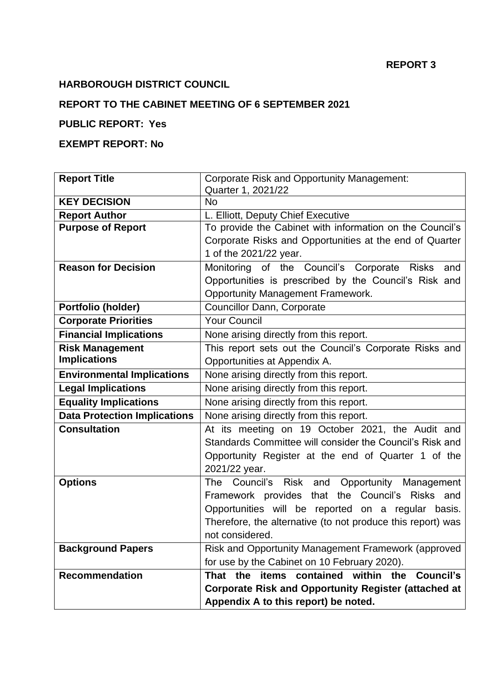### **REPORT 3**

## **HARBOROUGH DISTRICT COUNCIL**

## **REPORT TO THE CABINET MEETING OF 6 SEPTEMBER 2021**

## **PUBLIC REPORT: Yes**

## **EXEMPT REPORT: No**

| <b>Report Title</b>                 | <b>Corporate Risk and Opportunity Management:</b>           |  |
|-------------------------------------|-------------------------------------------------------------|--|
|                                     | Quarter 1, 2021/22                                          |  |
| <b>KEY DECISION</b>                 | <b>No</b>                                                   |  |
| <b>Report Author</b>                | L. Elliott, Deputy Chief Executive                          |  |
| <b>Purpose of Report</b>            | To provide the Cabinet with information on the Council's    |  |
|                                     | Corporate Risks and Opportunities at the end of Quarter     |  |
|                                     | 1 of the 2021/22 year.                                      |  |
| <b>Reason for Decision</b>          | Monitoring of the Council's Corporate Risks<br>and          |  |
|                                     | Opportunities is prescribed by the Council's Risk and       |  |
|                                     | <b>Opportunity Management Framework.</b>                    |  |
| Portfolio (holder)                  | Councillor Dann, Corporate                                  |  |
| <b>Corporate Priorities</b>         | <b>Your Council</b>                                         |  |
| <b>Financial Implications</b>       | None arising directly from this report.                     |  |
| <b>Risk Management</b>              | This report sets out the Council's Corporate Risks and      |  |
| <b>Implications</b>                 | Opportunities at Appendix A.                                |  |
| <b>Environmental Implications</b>   | None arising directly from this report.                     |  |
| <b>Legal Implications</b>           | None arising directly from this report.                     |  |
| <b>Equality Implications</b>        | None arising directly from this report.                     |  |
| <b>Data Protection Implications</b> | None arising directly from this report.                     |  |
| <b>Consultation</b>                 | At its meeting on 19 October 2021, the Audit and            |  |
|                                     | Standards Committee will consider the Council's Risk and    |  |
|                                     | Opportunity Register at the end of Quarter 1 of the         |  |
|                                     | 2021/22 year.                                               |  |
| <b>Options</b>                      | Council's Risk and<br>Opportunity Management<br>The         |  |
|                                     | Framework provides that the Council's Risks and             |  |
|                                     | Opportunities will be reported on a regular basis.          |  |
|                                     | Therefore, the alternative (to not produce this report) was |  |
|                                     | not considered.                                             |  |
| <b>Background Papers</b>            | Risk and Opportunity Management Framework (approved         |  |
|                                     | for use by the Cabinet on 10 February 2020).                |  |
| <b>Recommendation</b>               | items contained within the<br><b>Council's</b><br>That the  |  |
|                                     | <b>Corporate Risk and Opportunity Register (attached at</b> |  |
|                                     | Appendix A to this report) be noted.                        |  |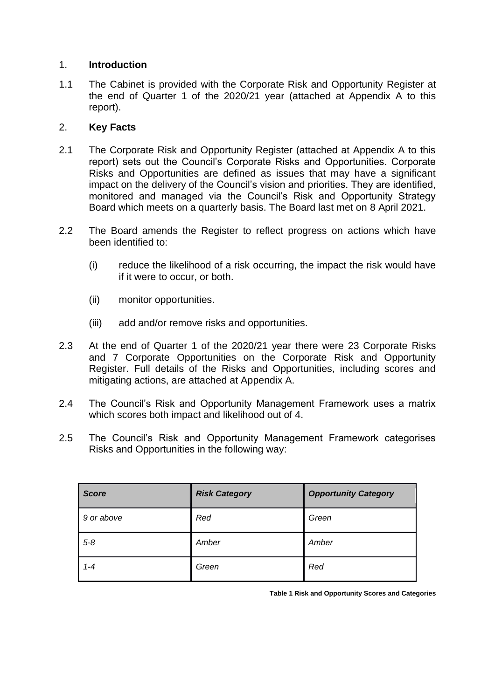## 1. **Introduction**

1.1 The Cabinet is provided with the Corporate Risk and Opportunity Register at the end of Quarter 1 of the 2020/21 year (attached at Appendix A to this report).

## 2. **Key Facts**

- 2.1 The Corporate Risk and Opportunity Register (attached at Appendix A to this report) sets out the Council's Corporate Risks and Opportunities. Corporate Risks and Opportunities are defined as issues that may have a significant impact on the delivery of the Council's vision and priorities. They are identified, monitored and managed via the Council's Risk and Opportunity Strategy Board which meets on a quarterly basis. The Board last met on 8 April 2021.
- 2.2 The Board amends the Register to reflect progress on actions which have been identified to:
	- (i) reduce the likelihood of a risk occurring, the impact the risk would have if it were to occur, or both.
	- (ii) monitor opportunities.
	- (iii) add and/or remove risks and opportunities.
- 2.3 At the end of Quarter 1 of the 2020/21 year there were 23 Corporate Risks and 7 Corporate Opportunities on the Corporate Risk and Opportunity Register. Full details of the Risks and Opportunities, including scores and mitigating actions, are attached at Appendix A.
- 2.4 The Council's Risk and Opportunity Management Framework uses a matrix which scores both impact and likelihood out of 4.
- 2.5 The Council's Risk and Opportunity Management Framework categorises Risks and Opportunities in the following way:

| <b>Score</b> | <b>Risk Category</b> | <b>Opportunity Category</b> |
|--------------|----------------------|-----------------------------|
| 9 or above   | Red                  | Green                       |
| $5 - 8$      | Amber                | Amber                       |
| $1 - 4$      | Green                | Red                         |

**Table 1 Risk and Opportunity Scores and Categories**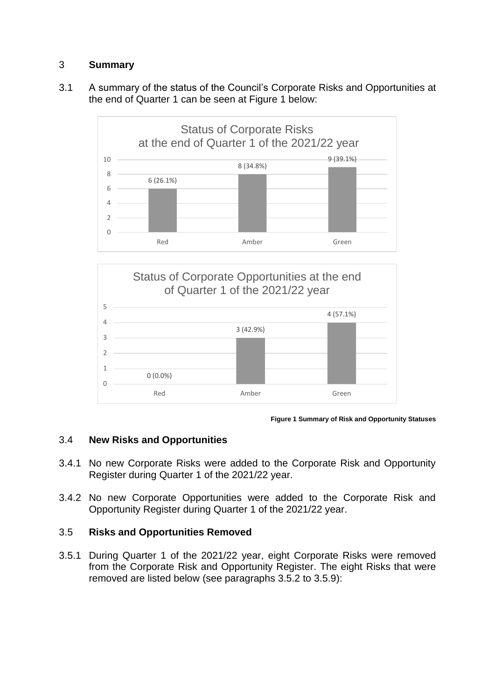## 3 **Summary**

3.1 A summary of the status of the Council's Corporate Risks and Opportunities at the end of Quarter 1 can be seen at Figure 1 below:





**Figure 1 Summary of Risk and Opportunity Statuses**

## 3.4 **New Risks and Opportunities**

- 3.4.1 No new Corporate Risks were added to the Corporate Risk and Opportunity Register during Quarter 1 of the 2021/22 year.
- 3.4.2 No new Corporate Opportunities were added to the Corporate Risk and Opportunity Register during Quarter 1 of the 2021/22 year.

## 3.5 **Risks and Opportunities Removed**

3.5.1 During Quarter 1 of the 2021/22 year, eight Corporate Risks were removed from the Corporate Risk and Opportunity Register. The eight Risks that were removed are listed below (see paragraphs 3.5.2 to 3.5.9):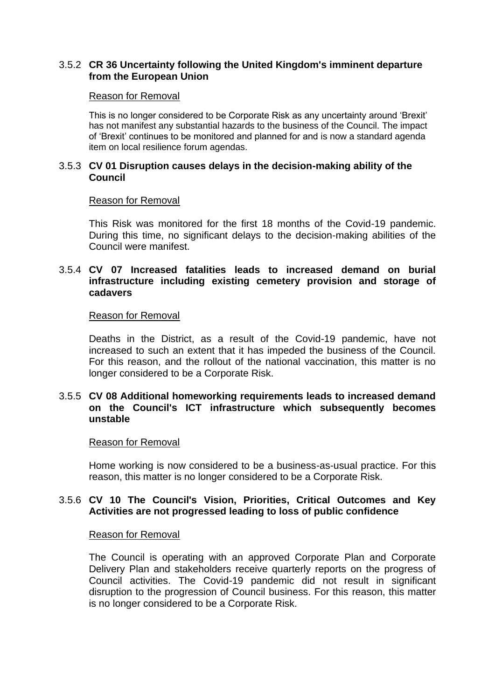## 3.5.2 **CR 36 Uncertainty following the United Kingdom's imminent departure from the European Union**

#### Reason for Removal

This is no longer considered to be Corporate Risk as any uncertainty around 'Brexit' has not manifest any substantial hazards to the business of the Council. The impact of 'Brexit' continues to be monitored and planned for and is now a standard agenda item on local resilience forum agendas.

#### 3.5.3 **CV 01 Disruption causes delays in the decision-making ability of the Council**

#### Reason for Removal

This Risk was monitored for the first 18 months of the Covid-19 pandemic. During this time, no significant delays to the decision-making abilities of the Council were manifest.

### 3.5.4 **CV 07 Increased fatalities leads to increased demand on burial infrastructure including existing cemetery provision and storage of cadavers**

#### Reason for Removal

Deaths in the District, as a result of the Covid-19 pandemic, have not increased to such an extent that it has impeded the business of the Council. For this reason, and the rollout of the national vaccination, this matter is no longer considered to be a Corporate Risk.

### 3.5.5 **CV 08 Additional homeworking requirements leads to increased demand on the Council's ICT infrastructure which subsequently becomes unstable**

#### Reason for Removal

Home working is now considered to be a business-as-usual practice. For this reason, this matter is no longer considered to be a Corporate Risk.

### 3.5.6 **CV 10 The Council's Vision, Priorities, Critical Outcomes and Key Activities are not progressed leading to loss of public confidence**

#### Reason for Removal

The Council is operating with an approved Corporate Plan and Corporate Delivery Plan and stakeholders receive quarterly reports on the progress of Council activities. The Covid-19 pandemic did not result in significant disruption to the progression of Council business. For this reason, this matter is no longer considered to be a Corporate Risk.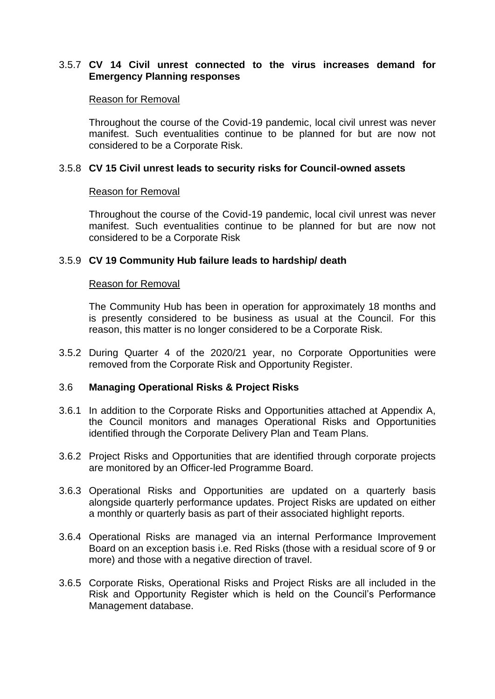## 3.5.7 **CV 14 Civil unrest connected to the virus increases demand for Emergency Planning responses**

#### Reason for Removal

Throughout the course of the Covid-19 pandemic, local civil unrest was never manifest. Such eventualities continue to be planned for but are now not considered to be a Corporate Risk.

## 3.5.8 **CV 15 Civil unrest leads to security risks for Council-owned assets**

### Reason for Removal

Throughout the course of the Covid-19 pandemic, local civil unrest was never manifest. Such eventualities continue to be planned for but are now not considered to be a Corporate Risk

## 3.5.9 **CV 19 Community Hub failure leads to hardship/ death**

### Reason for Removal

The Community Hub has been in operation for approximately 18 months and is presently considered to be business as usual at the Council. For this reason, this matter is no longer considered to be a Corporate Risk.

3.5.2 During Quarter 4 of the 2020/21 year, no Corporate Opportunities were removed from the Corporate Risk and Opportunity Register.

## 3.6 **Managing Operational Risks & Project Risks**

- 3.6.1 In addition to the Corporate Risks and Opportunities attached at Appendix A, the Council monitors and manages Operational Risks and Opportunities identified through the Corporate Delivery Plan and Team Plans.
- 3.6.2 Project Risks and Opportunities that are identified through corporate projects are monitored by an Officer-led Programme Board.
- 3.6.3 Operational Risks and Opportunities are updated on a quarterly basis alongside quarterly performance updates. Project Risks are updated on either a monthly or quarterly basis as part of their associated highlight reports.
- 3.6.4 Operational Risks are managed via an internal Performance Improvement Board on an exception basis i.e. Red Risks (those with a residual score of 9 or more) and those with a negative direction of travel.
- 3.6.5 Corporate Risks, Operational Risks and Project Risks are all included in the Risk and Opportunity Register which is held on the Council's Performance Management database.